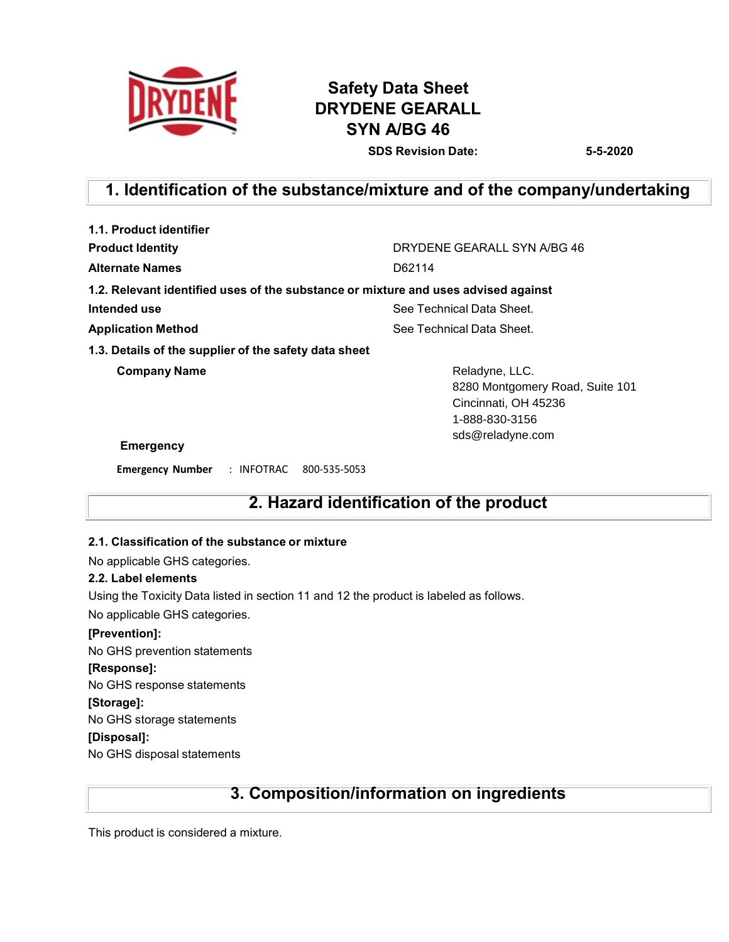

# **Safety Data Sheet DRYDENE GEARALL SYN A/BG 46 SDS Revision Date: 5-5-2020**

# **1. Identification of the substance/mixture and of the company/undertaking**

| 1.1. Product identifier                               |                                                                                             |
|-------------------------------------------------------|---------------------------------------------------------------------------------------------|
| <b>Product Identity</b>                               | DRYDENE GEARALL SYN A/BG 46                                                                 |
| <b>Alternate Names</b>                                | D62114                                                                                      |
|                                                       | 1.2. Relevant identified uses of the substance or mixture and uses advised against          |
| Intended use                                          | See Technical Data Sheet.                                                                   |
| <b>Application Method</b>                             | See Technical Data Sheet.                                                                   |
| 1.3. Details of the supplier of the safety data sheet |                                                                                             |
| <b>Company Name</b>                                   | Reladyne, LLC.<br>8280 Montgomery Road, Suite 101<br>Cincinnati, OH 45236<br>1-888-830-3156 |
| <b>Emergency</b>                                      | sds@reladyne.com                                                                            |
| <b>Emergency Number</b><br>: INFOTRAC 800-535-5053    |                                                                                             |

# **2. Hazard identification of the product**

### **2.1. Classification of the substance or mixture**

No applicable GHS categories.

### **2.2. Label elements**

Using the Toxicity Data listed in section 11 and 12 the product is labeled as follows.

No applicable GHS categories.

### **[Prevention]:**

No GHS prevention statements

### **[Response]:**

No GHS response statements

### **[Storage]:**

No GHS storage statements

### **[Disposal]:**

No GHS disposal statements

# **3. Composition/information on ingredients**

This product is considered a mixture.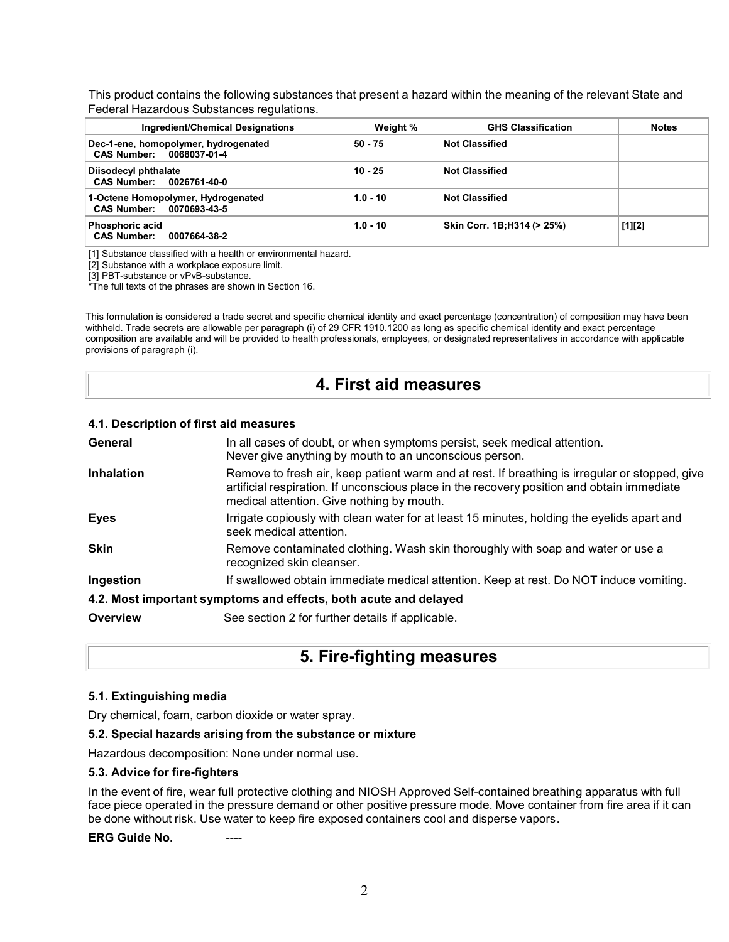This product contains the following substances that present a hazard within the meaning of the relevant State and Federal Hazardous Substances regulations.

| Ingredient/Chemical Designations                                 | Weight %   | <b>GHS Classification</b>   | <b>Notes</b> |
|------------------------------------------------------------------|------------|-----------------------------|--------------|
| Dec-1-ene, homopolymer, hydrogenated<br>CAS Number: 0068037-01-4 | $50 - 75$  | <b>Not Classified</b>       |              |
| Diisodecyl phthalate<br>CAS Number: 0026761-40-0                 | $10 - 25$  | <b>Not Classified</b>       |              |
| 1-Octene Homopolymer, Hydrogenated<br>CAS Number: 0070693-43-5   | $1.0 - 10$ | <b>Not Classified</b>       |              |
| Phosphoric acid<br><b>CAS Number:</b><br>0007664-38-2            | $1.0 - 10$ | Skin Corr. 1B: H314 (> 25%) | $[1][2]$     |

[1] Substance classified with a health or environmental hazard.

[2] Substance with a workplace exposure limit.

[3] PBT-substance or vPvB-substance.

\*The full texts of the phrases are shown in Section 16.

This formulation is considered a trade secret and specific chemical identity and exact percentage (concentration) of composition may have been withheld. Trade secrets are allowable per paragraph (i) of 29 CFR 1910.1200 as long as specific chemical identity and exact percentage composition are available and will be provided to health professionals, employees, or designated representatives in accordance with applicable provisions of paragraph (i).

### **4. First aid measures**

#### **4.1. Description of first aid measures**

| General           | In all cases of doubt, or when symptoms persist, seek medical attention.<br>Never give anything by mouth to an unconscious person.                                                                                                        |
|-------------------|-------------------------------------------------------------------------------------------------------------------------------------------------------------------------------------------------------------------------------------------|
| <b>Inhalation</b> | Remove to fresh air, keep patient warm and at rest. If breathing is irregular or stopped, give<br>artificial respiration. If unconscious place in the recovery position and obtain immediate<br>medical attention. Give nothing by mouth. |
| <b>Eyes</b>       | Irrigate copiously with clean water for at least 15 minutes, holding the eyelids apart and<br>seek medical attention.                                                                                                                     |
| <b>Skin</b>       | Remove contaminated clothing. Wash skin thoroughly with soap and water or use a<br>recognized skin cleanser.                                                                                                                              |
| Ingestion         | If swallowed obtain immediate medical attention. Keep at rest. Do NOT induce vomiting.                                                                                                                                                    |
|                   | 4.2. Most important symptoms and effects, both acute and delayed                                                                                                                                                                          |
| Overview          | See section 2 for further details if applicable.                                                                                                                                                                                          |

# **5. Fire-fighting measures**

#### **5.1. Extinguishing media**

Dry chemical, foam, carbon dioxide or water spray.

#### **5.2. Special hazards arising from the substance or mixture**

Hazardous decomposition: None under normal use.

#### **5.3. Advice for fire-fighters**

In the event of fire, wear full protective clothing and NIOSH Approved Self-contained breathing apparatus with full face piece operated in the pressure demand or other positive pressure mode. Move container from fire area if it can be done without risk. Use water to keep fire exposed containers cool and disperse vapors.

**ERG** Guide No.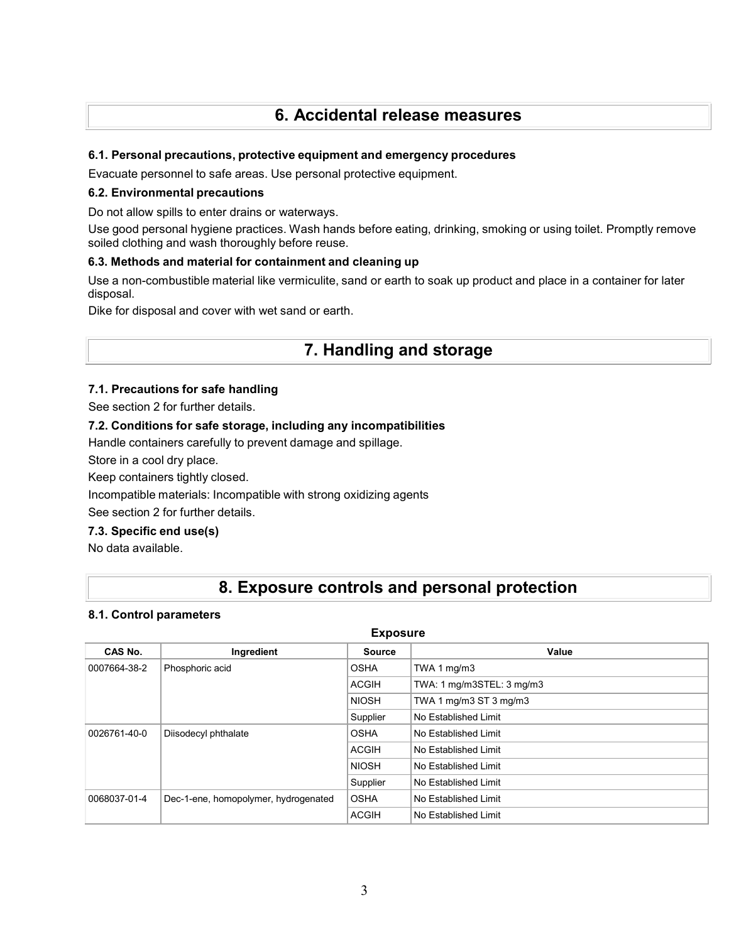# **6. Accidental release measures**

### **6.1. Personal precautions, protective equipment and emergency procedures**

Evacuate personnel to safe areas. Use personal protective equipment.

#### **6.2. Environmental precautions**

Do not allow spills to enter drains or waterways.

Use good personal hygiene practices. Wash hands before eating, drinking, smoking or using toilet. Promptly remove soiled clothing and wash thoroughly before reuse.

### **6.3. Methods and material for containment and cleaning up**

Use a non-combustible material like vermiculite, sand or earth to soak up product and place in a container for later disposal.

Dike for disposal and cover with wet sand or earth.

## **7. Handling and storage**

### **7.1. Precautions for safe handling**

See section 2 for further details.

### **7.2. Conditions for safe storage, including any incompatibilities**

Handle containers carefully to prevent damage and spillage.

Store in a cool dry place.

Keep containers tightly closed.

Incompatible materials: Incompatible with strong oxidizing agents

See section 2 for further details.

### **7.3. Specific end use(s)**

No data available.

# **8. Exposure controls and personal protection**

#### **8.1. Control parameters**

#### **Exposure**

| CAS No.                              | Ingredient                           | <b>Source</b> | Value                     |
|--------------------------------------|--------------------------------------|---------------|---------------------------|
| 0007664-38-2                         | Phosphoric acid                      | <b>OSHA</b>   | TWA 1 mg/m3               |
|                                      |                                      | <b>ACGIH</b>  | TWA: 1 mg/m3STEL: 3 mg/m3 |
|                                      |                                      | <b>NIOSH</b>  | TWA 1 mg/m3 ST 3 mg/m3    |
|                                      |                                      | Supplier      | No Established Limit      |
| Diisodecyl phthalate<br>0026761-40-0 |                                      | <b>OSHA</b>   | No Established Limit      |
|                                      |                                      | <b>ACGIH</b>  | No Established Limit      |
|                                      |                                      | <b>NIOSH</b>  | No Established Limit      |
|                                      |                                      | Supplier      | No Established Limit      |
| 0068037-01-4                         | Dec-1-ene, homopolymer, hydrogenated | <b>OSHA</b>   | No Established Limit      |
|                                      |                                      | <b>ACGIH</b>  | No Established Limit      |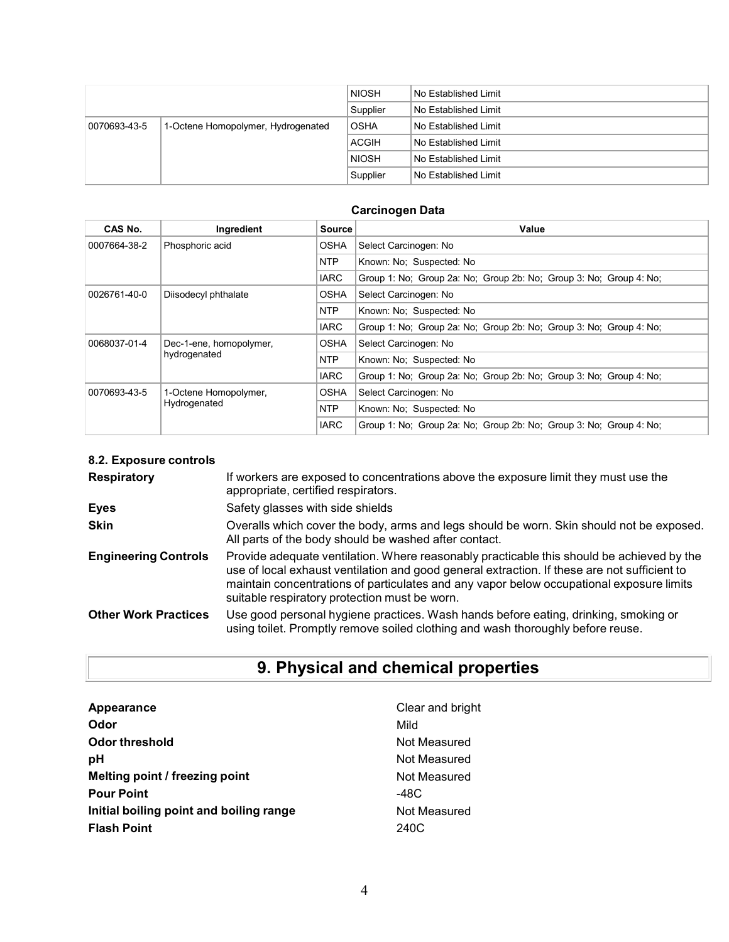|              |                                    | <b>NIOSH</b> | l No Established Limit |
|--------------|------------------------------------|--------------|------------------------|
|              |                                    | Supplier     | l No Established Limit |
| 0070693-43-5 | 1-Octene Homopolymer, Hydrogenated | <b>OSHA</b>  | l No Established Limit |
|              |                                    | <b>ACGIH</b> | l No Established Limit |
|              |                                    | <b>NIOSH</b> | l No Established Limit |
|              |                                    | Supplier     | l No Established Limit |

### **Carcinogen Data**

| CAS No.      | Ingredient              | <b>Source</b> | Value                                                              |  |  |  |  |
|--------------|-------------------------|---------------|--------------------------------------------------------------------|--|--|--|--|
| 0007664-38-2 | Phosphoric acid         | <b>OSHA</b>   | Select Carcinogen: No                                              |  |  |  |  |
|              |                         | <b>NTP</b>    | Known: No: Suspected: No                                           |  |  |  |  |
|              |                         | <b>IARC</b>   | Group 1: No: Group 2a: No: Group 2b: No: Group 3: No: Group 4: No: |  |  |  |  |
| 0026761-40-0 | Diisodecyl phthalate    | <b>OSHA</b>   | Select Carcinogen: No                                              |  |  |  |  |
|              |                         | <b>NTP</b>    | Known: No: Suspected: No                                           |  |  |  |  |
|              |                         | <b>IARC</b>   | Group 1: No: Group 2a: No: Group 2b: No: Group 3: No: Group 4: No: |  |  |  |  |
| 0068037-01-4 | Dec-1-ene, homopolymer, | <b>OSHA</b>   | Select Carcinogen: No                                              |  |  |  |  |
|              | hydrogenated            | <b>NTP</b>    | Known: No: Suspected: No                                           |  |  |  |  |
|              |                         | <b>IARC</b>   | Group 1: No: Group 2a: No: Group 2b: No: Group 3: No: Group 4: No: |  |  |  |  |
| 0070693-43-5 | 1-Octene Homopolymer,   | OSHA          | Select Carcinogen: No                                              |  |  |  |  |
|              | Hydrogenated            | <b>NTP</b>    | Known: No: Suspected: No                                           |  |  |  |  |
|              |                         | <b>IARC</b>   | Group 1: No: Group 2a: No: Group 2b: No: Group 3: No: Group 4: No: |  |  |  |  |

### **8.2. Exposure controls**

| <b>Respiratory</b>          | If workers are exposed to concentrations above the exposure limit they must use the<br>appropriate, certified respirators.                                                                                                                                                                                                             |
|-----------------------------|----------------------------------------------------------------------------------------------------------------------------------------------------------------------------------------------------------------------------------------------------------------------------------------------------------------------------------------|
| <b>Eyes</b>                 | Safety glasses with side shields                                                                                                                                                                                                                                                                                                       |
| <b>Skin</b>                 | Overalls which cover the body, arms and legs should be worn. Skin should not be exposed.<br>All parts of the body should be washed after contact.                                                                                                                                                                                      |
| <b>Engineering Controls</b> | Provide adequate ventilation. Where reasonably practicable this should be achieved by the<br>use of local exhaust ventilation and good general extraction. If these are not sufficient to<br>maintain concentrations of particulates and any vapor below occupational exposure limits<br>suitable respiratory protection must be worn. |
| <b>Other Work Practices</b> | Use good personal hygiene practices. Wash hands before eating, drinking, smoking or<br>using toilet. Promptly remove soiled clothing and wash thoroughly before reuse.                                                                                                                                                                 |

# **9. Physical and chemical properties**

| Appearance                              | Clear and bright |
|-----------------------------------------|------------------|
| Odor                                    | Mild             |
| Odor threshold                          | Not Measured     |
| рH                                      | Not Measured     |
| Melting point / freezing point          | Not Measured     |
| <b>Pour Point</b>                       | -48C             |
| Initial boiling point and boiling range | Not Measured     |
| <b>Flash Point</b>                      | 240C             |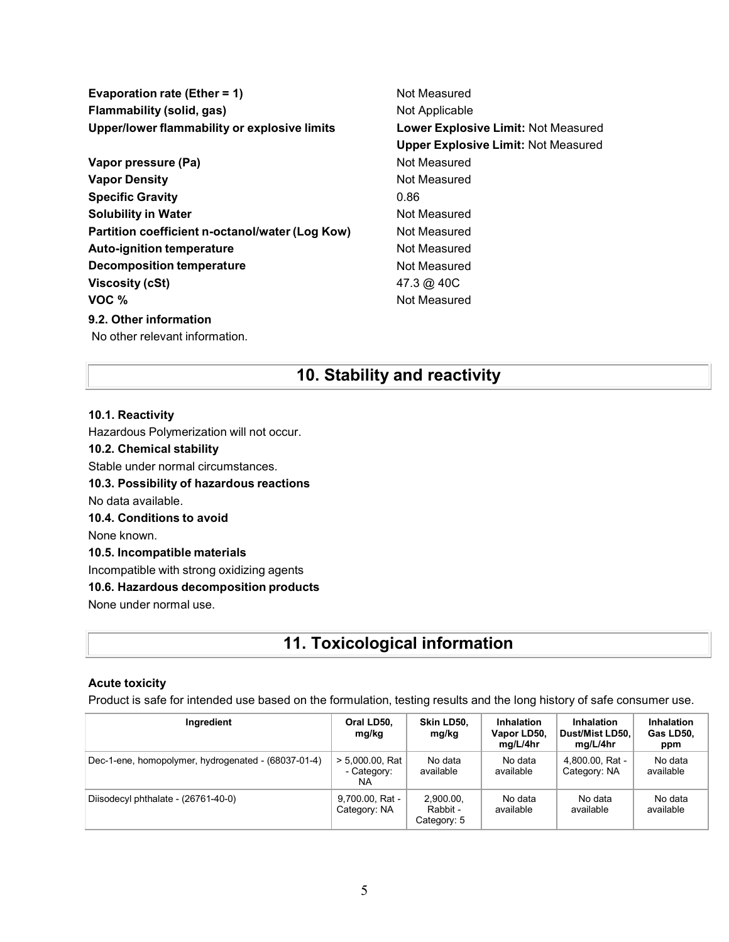**Evaporation rate (Ether = 1)** Not Measured **Flammability (solid, gas)** Not Applicable **Upper/lower flammability or explosive limits Lower Explosive Limit:** Not Measured

**Vapor pressure (Pa)** Not Measured **Vapor Density Not Measured** Not Measured **Specific Gravity** 0.86 **Solubility in Water Not Measured Not Measured Partition coefficient n-octanol/water (Log Kow) Not Measured Auto-ignition temperature Not Measured** Not Measured **Decomposition temperature Not Measured** Not Measured **Viscosity (cSt)** 47.3 @ 40C **VOC** %

### **9.2. Other information**

No other relevant information.

**Upper Explosive Limit:** Not Measured

# **10. Stability and reactivity**

### **10.1. Reactivity**

Hazardous Polymerization will not occur.

### **10.2. Chemical stability**

Stable under normal circumstances.

**10.3. Possibility of hazardous reactions**

No data available.

#### **10.4. Conditions to avoid**

None known.

### **10.5. Incompatible materials**

Incompatible with strong oxidizing agents

### **10.6. Hazardous decomposition products**

None under normal use.

# **11. Toxicological information**

### **Acute toxicity**

Product is safe for intended use based on the formulation, testing results and the long history of safe consumer use.

| Ingredient                                          | Oral LD50,<br>mg/kg                      | Skin LD50,<br>mg/kg                  | <b>Inhalation</b><br>Vapor LD50,<br>mg/L/4hr | <b>Inhalation</b><br>Dust/Mist LD50.<br>mg/L/4hr | <b>Inhalation</b><br>Gas LD50,<br>ppm |
|-----------------------------------------------------|------------------------------------------|--------------------------------------|----------------------------------------------|--------------------------------------------------|---------------------------------------|
| Dec-1-ene, homopolymer, hydrogenated - (68037-01-4) | $> 5,000.00$ , Rat<br>- Category:<br>NA. | No data<br>available                 | No data<br>available                         | 4,800.00, Rat -<br>Category: NA                  | No data<br>available                  |
| Diisodecyl phthalate - (26761-40-0)                 | 9,700.00, Rat -<br>Category: NA          | 2.900.00.<br>Rabbit -<br>Category: 5 | No data<br>available                         | No data<br>available                             | No data<br>available                  |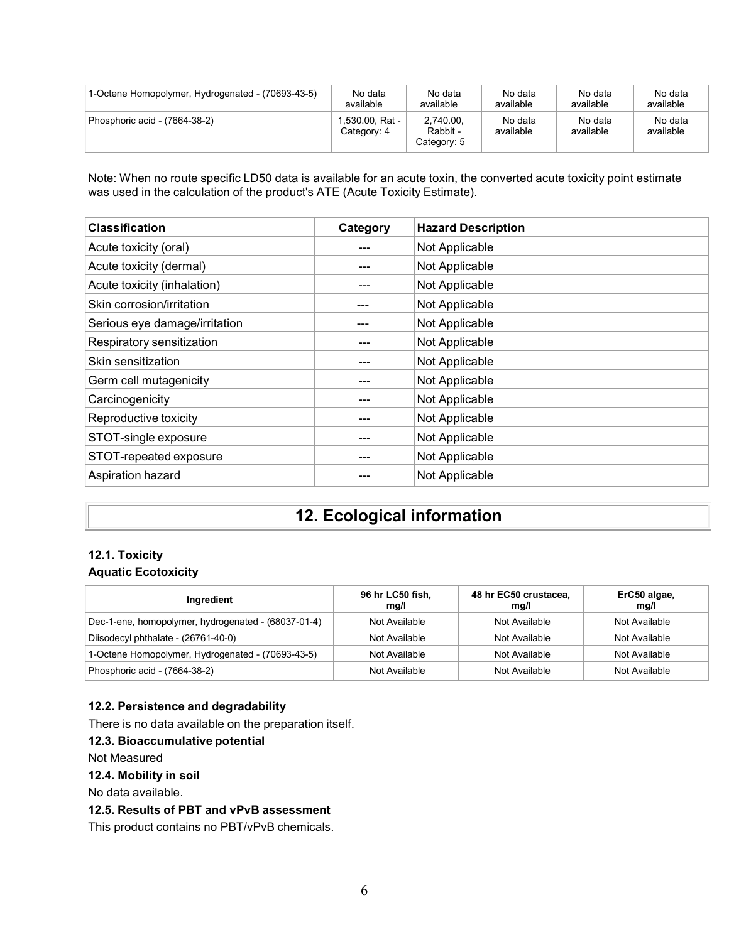| 1-Octene Homopolymer, Hydrogenated - (70693-43-5) | No data                       | No data                              | No data              | No data              | No data              |
|---------------------------------------------------|-------------------------------|--------------------------------------|----------------------|----------------------|----------------------|
|                                                   | available                     | available                            | available            | available            | available            |
| Phosphoric acid - (7664-38-2)                     | .530.00. Rat -<br>Category: 4 | 2.740.00.<br>Rabbit -<br>Category: 5 | No data<br>available | No data<br>available | No data<br>available |

Note: When no route specific LD50 data is available for an acute toxin, the converted acute toxicity point estimate was used in the calculation of the product's ATE (Acute Toxicity Estimate).

| <b>Classification</b>         | Category | <b>Hazard Description</b> |
|-------------------------------|----------|---------------------------|
| Acute toxicity (oral)         |          | Not Applicable            |
| Acute toxicity (dermal)       |          | Not Applicable            |
| Acute toxicity (inhalation)   | ---      | Not Applicable            |
| Skin corrosion/irritation     | ---      | Not Applicable            |
| Serious eye damage/irritation |          | Not Applicable            |
| Respiratory sensitization     |          | Not Applicable            |
| Skin sensitization            |          | Not Applicable            |
| Germ cell mutagenicity        |          | Not Applicable            |
| Carcinogenicity               |          | Not Applicable            |
| Reproductive toxicity         |          | Not Applicable            |
| STOT-single exposure          |          | Not Applicable            |
| STOT-repeated exposure        |          | Not Applicable            |
| Aspiration hazard             |          | Not Applicable            |

# **12. Ecological information**

### **12.1. Toxicity Aquatic Ecotoxicity**

| Ingredient                                          | 96 hr LC50 fish,<br>mg/l | 48 hr EC50 crustacea,<br>mq/l | ErC50 algae,<br>mg/l |
|-----------------------------------------------------|--------------------------|-------------------------------|----------------------|
| Dec-1-ene, homopolymer, hydrogenated - (68037-01-4) | Not Available            | Not Available                 | Not Available        |
| Diisodecyl phthalate - (26761-40-0)                 | Not Available            | Not Available                 | Not Available        |
| 1-Octene Homopolymer, Hydrogenated - (70693-43-5)   | Not Available            | Not Available                 | Not Available        |
| Phosphoric acid - (7664-38-2)                       | Not Available            | Not Available                 | Not Available        |

### **12.2. Persistence and degradability**

There is no data available on the preparation itself.

### **12.3. Bioaccumulative potential**

Not Measured

### **12.4. Mobility in soil**

No data available.

### **12.5. Results of PBT and vPvB assessment**

This product contains no PBT/vPvB chemicals.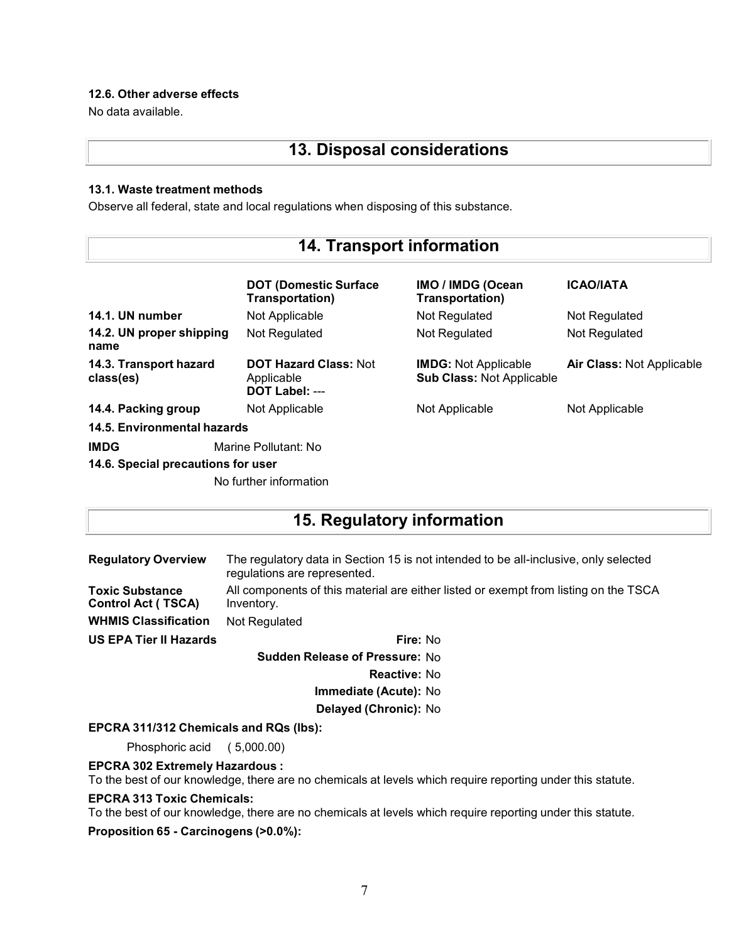### **12.6. Other adverse effects**

No data available.

# **13. Disposal considerations**

### **13.1. Waste treatment methods**

Observe all federal, state and local regulations when disposing of this substance.

| <b>14. Transport information</b>    |                                                              |                                                                 |                                  |
|-------------------------------------|--------------------------------------------------------------|-----------------------------------------------------------------|----------------------------------|
|                                     | <b>DOT (Domestic Surface)</b><br>Transportation)             | IMO / IMDG (Ocean<br>Transportation)                            | <b>ICAO/IATA</b>                 |
| 14.1. UN number                     | Not Applicable                                               | Not Regulated                                                   | Not Regulated                    |
| 14.2. UN proper shipping<br>name    | Not Regulated                                                | Not Regulated                                                   | Not Regulated                    |
| 14.3. Transport hazard<br>class(es) | <b>DOT Hazard Class: Not</b><br>Applicable<br>DOT Label: --- | <b>IMDG: Not Applicable</b><br><b>Sub Class: Not Applicable</b> | <b>Air Class: Not Applicable</b> |
| 14.4. Packing group                 | Not Applicable                                               | Not Applicable                                                  | Not Applicable                   |
| 14.5. Environmental hazards         |                                                              |                                                                 |                                  |
| <b>IMDG</b><br>Marine Pollutant: No |                                                              |                                                                 |                                  |
| 14.6. Special precautions for user  |                                                              |                                                                 |                                  |
|                                     | No further information                                       |                                                                 |                                  |

# **15. Regulatory information**

| <b>Regulatory Overview</b>                   | The regulatory data in Section 15 is not intended to be all-inclusive, only selected<br>regulations are represented. |  |  |
|----------------------------------------------|----------------------------------------------------------------------------------------------------------------------|--|--|
| Toxic Substance<br><b>Control Act (TSCA)</b> | All components of this material are either listed or exempt from listing on the TSCA<br>Inventory.                   |  |  |
| <b>WHMIS Classification</b>                  | Not Regulated                                                                                                        |  |  |
| US EPA Tier II Hazards                       | Fire: No                                                                                                             |  |  |
|                                              |                                                                                                                      |  |  |

**Sudden Release of Pressure:** No **Reactive:** No **Immediate (Acute):** No **Delayed (Chronic):** No

### **EPCRA 311/312 Chemicals and RQs (lbs):**

Phosphoric acid ( 5,000.00)

### **EPCRA 302 Extremely Hazardous :**

To the best of our knowledge, there are no chemicals at levels which require reporting under this statute.

### **EPCRA 313 Toxic Chemicals:**

To the best of our knowledge, there are no chemicals at levels which require reporting under this statute.

**Proposition 65 - Carcinogens (>0.0%):**